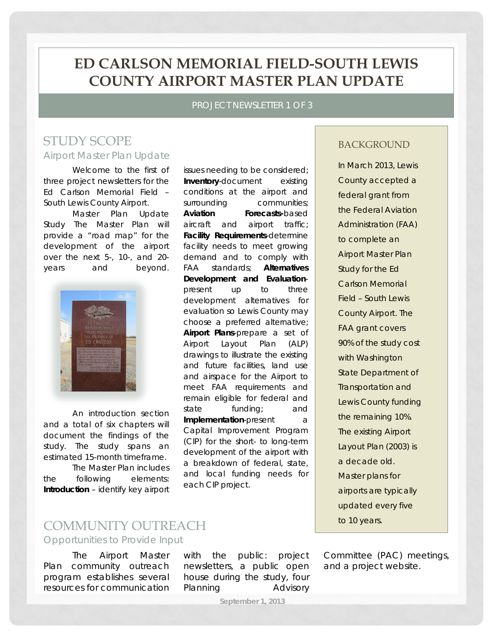## **ED CARLSON MEMORIAL FIELD-SOUTH LEWIS COUNTY AIRPORT MASTER PLAN UPDATE**

PROJECT NEWSLETTER 1 OF 3

### STUDY SCOPE Airport Master Plan Update

Welcome to the first of three project newsletters for the Ed Carlson Memorial Field – South Lewis County Airport.

Master Plan Update Study The Master Plan will provide a "road map" for the development of the airport over the next 5-, 10-, and 20 years and beyond.



An introduction section and a total of six chapters will document the findings of the study. The study spans an estimated 15-month timeframe.

The Master Plan includes the following elements: **Introduction** – identify key airport issues needing to be considered; **Inventory**-document existing conditions at the airport and surrounding communities; **Aviation Forecasts-**based aircraft and airport traffic; **Facility Requirements**-determine facility needs to meet growing demand and to comply with FAA standards; **Alternatives Development and Evaluation**present up to three development alternatives for evaluation so Lewis County may choose a preferred alternative; **Airport Plans**-prepare a set of Airport Layout Plan (ALP) drawings to illustrate the existing and future facilities, land use and airspace for the Airport to meet FAA requirements and remain eligible for federal and state funding; and **Implementation**-present a Capital Improvement Program (CIP) for the short- to long-term development of the airport with a breakdown of federal, state, and local funding needs for each CIP project.

#### **BACKGROUND**

In March 2013, Lewis County accepted a federal grant from the Federal Aviation Administration (FAA) to complete an Airport Master Plan Study for the Ed Carlson Memorial Field – South Lewis County Airport. The FAA grant covers 90% of the study cost with Washington State Department of Transportation and Lewis County funding the remaining 10%. The existing Airport Layout Plan (2003) is a decade old. Master plans for airports are typically updated every five to 10 years.

# COMMUNITY OUTREACH

Opportunities to Provide Input

The Airport Master Plan community outreach program establishes several resources for communication

with the public: project newsletters, a public open house during the study, four Planning Advisory

Committee (PAC) meetings, and a project website.